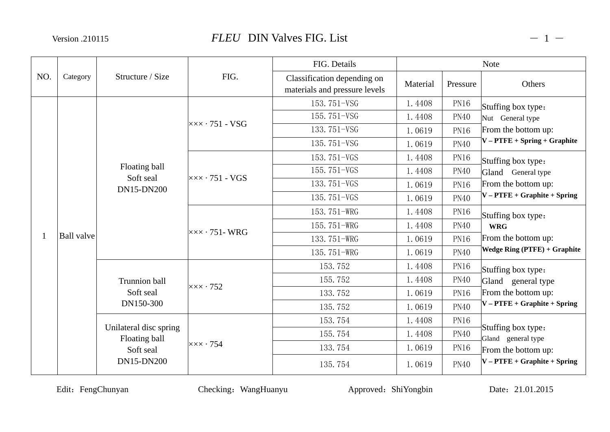Version .210115

|     |                   |                                         | FIG.                                              | FIG. Details                                                 |                                                               | <b>Note</b>                                                |                                                                             |  |
|-----|-------------------|-----------------------------------------|---------------------------------------------------|--------------------------------------------------------------|---------------------------------------------------------------|------------------------------------------------------------|-----------------------------------------------------------------------------|--|
| NO. | Category          | Structure / Size                        |                                                   | Classification depending on<br>materials and pressure levels | Material                                                      | Pressure                                                   | Others                                                                      |  |
|     |                   |                                         |                                                   | 153.751-VSG                                                  | 1.4408                                                        | <b>PN16</b>                                                | Stuffing box type:                                                          |  |
|     |                   |                                         | $\overline{\times} \times \cdot 751 - \text{VSG}$ | 155.751-VSG                                                  | 1.4408                                                        | <b>PN40</b>                                                | Nut General type                                                            |  |
|     |                   |                                         |                                                   | 133.751-VSG                                                  | 1.0619                                                        | <b>PN16</b>                                                | From the bottom up:                                                         |  |
|     |                   |                                         |                                                   | 135.751-VSG                                                  | 1.0619                                                        | <b>PN40</b>                                                | $V - P \text{TFE} + Spring + Graphite$                                      |  |
|     |                   |                                         |                                                   | 153.751-VGS                                                  | 1.4408                                                        | <b>PN16</b>                                                | Stuffing box type:                                                          |  |
|     | <b>Ball</b> valve | Floating ball                           | $\overline{\times} \times \cdot 751$ - VGS        | 155.751-VGS                                                  | 1.4408                                                        | <b>PN40</b><br><b>PN16</b>                                 | Gland General type<br>From the bottom up:<br>$V - PTFE + Graphite + Spring$ |  |
|     |                   | Soft seal<br>DN15-DN200                 |                                                   | 133.751-VGS                                                  | 1.0619                                                        |                                                            |                                                                             |  |
|     |                   |                                         |                                                   | 135.751-VGS                                                  | 1.0619                                                        | <b>PN40</b>                                                |                                                                             |  |
|     |                   |                                         |                                                   | 153.751-WRG                                                  | 1.4408                                                        | <b>PN16</b>                                                | Stuffing box type:                                                          |  |
|     |                   |                                         |                                                   | 155.751-WRG                                                  | 1.4408<br><b>PN40</b><br>133.751-WRG<br>1.0619<br><b>PN16</b> |                                                            | <b>WRG</b>                                                                  |  |
|     |                   |                                         | $\overline{\times} \times \cdot 751$ - WRG        |                                                              |                                                               | From the bottom up:<br><b>Wedge Ring (PTFE) + Graphite</b> |                                                                             |  |
|     |                   |                                         |                                                   | 135.751-WRG<br>1.0619                                        | <b>PN40</b>                                                   |                                                            |                                                                             |  |
|     |                   |                                         |                                                   | 153.752                                                      | 1.4408                                                        | <b>PN16</b>                                                | Stuffing box type:                                                          |  |
|     |                   | <b>Trunnion ball</b>                    | $\mathsf{xxx} \cdot 752$                          | 155.752                                                      | 1.4408                                                        | <b>PN40</b>                                                | Gland general type                                                          |  |
|     |                   | Soft seal                               |                                                   | 133.752                                                      | 1.0619                                                        | <b>PN16</b>                                                | From the bottom up:                                                         |  |
|     |                   | DN150-300                               |                                                   | 135.752                                                      | 1.0619                                                        | <b>PN40</b>                                                | $V - PTFE + Graphite + Spring$                                              |  |
|     |                   |                                         |                                                   | 153.754                                                      | 1.4408                                                        | <b>PN16</b>                                                |                                                                             |  |
|     |                   | Unilateral disc spring<br>Floating ball |                                                   | 155.754                                                      | 1.4408                                                        | <b>PN40</b>                                                | Stuffing box type:<br>Gland general type                                    |  |
|     |                   | Soft seal                               | $\mathsf{xxx} \cdot 754$                          | 133.754                                                      | 1.0619                                                        | <b>PN16</b>                                                | From the bottom up:                                                         |  |
|     |                   | DN15-DN200                              |                                                   | 135.754                                                      | 1.0619                                                        | <b>PN40</b>                                                | $V - PTFE + Graphite + Spring$                                              |  |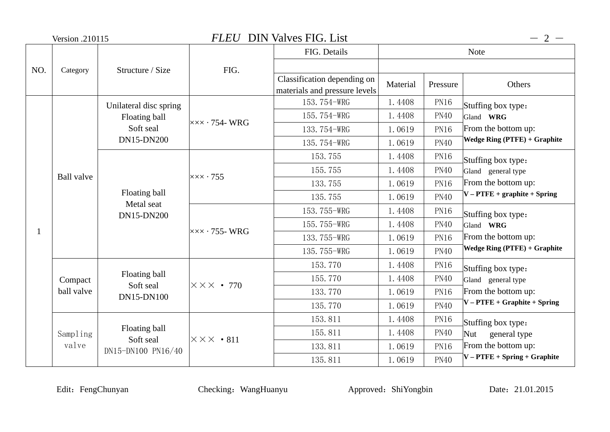|     | Version .210115   |                                                  | <b>FLEU</b> DIN Valves FIG. List                 |                               |          | $-2-$       |                                                                                               |
|-----|-------------------|--------------------------------------------------|--------------------------------------------------|-------------------------------|----------|-------------|-----------------------------------------------------------------------------------------------|
|     |                   |                                                  |                                                  | FIG. Details                  |          |             | <b>Note</b>                                                                                   |
| NO. | Category          | Structure / Size                                 | FIG.                                             |                               |          |             |                                                                                               |
|     |                   |                                                  |                                                  | Classification depending on   | Material | Pressure    | Others                                                                                        |
|     |                   |                                                  |                                                  | materials and pressure levels |          |             |                                                                                               |
|     |                   | Unilateral disc spring                           |                                                  | 153.754-WRG                   | 1.4408   | <b>PN16</b> | Stuffing box type:                                                                            |
|     |                   | Floating ball                                    | $x \times x \cdot 754$ -WRG                      | 155.754-WRG                   | 1.4408   | <b>PN40</b> | Gland WRG                                                                                     |
|     |                   | Soft seal                                        |                                                  | 133.754-WRG                   | 1.0619   | <b>PN16</b> | From the bottom up:                                                                           |
|     |                   | <b>DN15-DN200</b>                                |                                                  | 135.754-WRG                   | 1.0619   | <b>PN40</b> | <b>Wedge Ring (PTFE)</b> + Graphite                                                           |
|     | <b>Ball</b> valve |                                                  | $\times\times\times\cdot755$                     | 153.755                       | 1.4408   | <b>PN16</b> | Stuffing box type:                                                                            |
|     |                   | Floating ball<br>Metal seat<br><b>DN15-DN200</b> |                                                  | 155.755                       | 1.4408   | <b>PN40</b> | Gland general type                                                                            |
|     |                   |                                                  |                                                  | 133.755                       | 1.0619   | <b>PN16</b> | From the bottom up:                                                                           |
|     |                   |                                                  |                                                  | 135.755                       | 1.0619   | <b>PN40</b> | $V - P \text{TFE} + \text{graphite} + \text{Spring}$                                          |
|     |                   |                                                  | $x \times x \cdot 755$ -WRG                      | 153.755-WRG                   | 1.4408   | <b>PN16</b> | Stuffing box type:<br>Gland WRG<br>From the bottom up:<br><b>Wedge Ring (PTFE) + Graphite</b> |
| 1   |                   |                                                  |                                                  | 155.755-WRG                   | 1.4408   | <b>PN40</b> |                                                                                               |
|     |                   |                                                  |                                                  | 133.755-WRG                   | 1.0619   | <b>PN16</b> |                                                                                               |
|     |                   |                                                  |                                                  | 135.755-WRG                   | 1.0619   | <b>PN40</b> |                                                                                               |
|     |                   |                                                  |                                                  | 153.770                       | 1.4408   | <b>PN16</b> | Stuffing box type:                                                                            |
|     | Compact           | Floating ball<br>Soft seal                       | $\overline{\times}\times\overline{\times}$ • 770 | 155.770                       | 1.4408   | <b>PN40</b> | Gland general type                                                                            |
|     | ball valve        | DN15-DN100                                       |                                                  | 133.770                       | 1.0619   | <b>PN16</b> | From the bottom up:                                                                           |
|     |                   |                                                  |                                                  | 135.770                       | 1.0619   | <b>PN40</b> | $V - PTFE + Graphite + Spring$                                                                |
|     |                   |                                                  |                                                  | 153.811                       | 1.4408   | <b>PN16</b> | Stuffing box type:                                                                            |
|     | Sampling          | Floating ball<br>Soft seal                       | $\times\times\times\cdot811$                     | 155.811                       | 1.4408   | <b>PN40</b> | general type<br>Nut                                                                           |
|     | valve             | DN15-DN100 PN16/40                               |                                                  | 133.811                       | 1.0619   | <b>PN16</b> | From the bottom up:                                                                           |
|     |                   |                                                  |                                                  | 135.811                       | 1.0619   | <b>PN40</b> | $V - P \text{TFE} + Spring + Graphite$                                                        |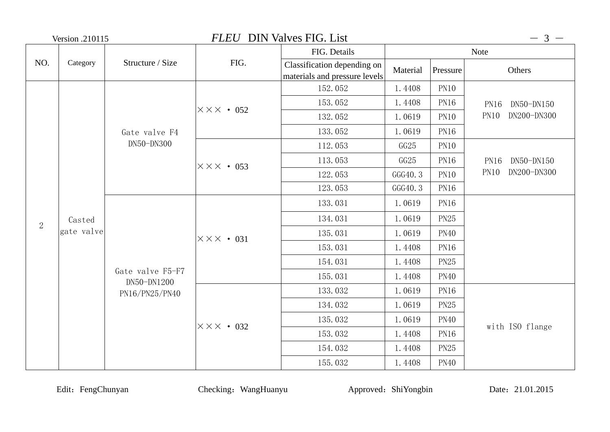| Version .210115 |                      |                                 | <b>FLEU</b> DIN Valves FIG. List |                                                              |                           | $-3-$                      |                           |  |
|-----------------|----------------------|---------------------------------|----------------------------------|--------------------------------------------------------------|---------------------------|----------------------------|---------------------------|--|
|                 |                      |                                 |                                  | FIG. Details                                                 |                           | <b>Note</b>                |                           |  |
| NO.             | Category             | Structure / Size                | FIG.                             | Classification depending on<br>materials and pressure levels | Material                  | Pressure                   | Others                    |  |
|                 |                      |                                 |                                  | 152.052                                                      | 1.4408                    | <b>PN10</b>                |                           |  |
|                 |                      |                                 | $\times\times\times\cdot052$     | 153.052                                                      | 1.4408                    | <b>PN16</b>                | <b>PN16</b><br>DN50-DN150 |  |
|                 |                      |                                 |                                  | 132.052                                                      | 1.0619                    | <b>PN10</b><br><b>PN10</b> | DN200-DN300               |  |
|                 |                      | Gate valve F4                   |                                  | 133.052                                                      | 1.0619                    | <b>PN16</b>                |                           |  |
|                 |                      | DN50-DN300                      |                                  | 112.053                                                      | GG25                      | <b>PN10</b>                |                           |  |
|                 | Casted<br>gate valve |                                 | $\times\times\times\bullet$ 053  | 113.053<br>GG25<br><b>PN16</b>                               | DN50-DN150<br><b>PN16</b> |                            |                           |  |
|                 |                      |                                 |                                  | 122.053                                                      | GGG40.3<br><b>PN10</b>    | PN10<br>DN200-DN300        |                           |  |
|                 |                      |                                 |                                  | 123.053                                                      | GGG40.3                   | <b>PN16</b>                |                           |  |
|                 |                      |                                 |                                  | 133.031                                                      | 1.0619                    | <b>PN16</b>                |                           |  |
| $\overline{2}$  |                      |                                 |                                  | 134.031                                                      | 1.0619                    | <b>PN25</b>                |                           |  |
|                 |                      |                                 | $\times\times\times\bullet$ 031  | 135.031                                                      | 1.0619                    | <b>PN40</b>                |                           |  |
|                 |                      |                                 |                                  | 153.031                                                      | 1.4408                    | <b>PN16</b>                |                           |  |
|                 |                      |                                 |                                  | 154.031                                                      | 1.4408                    | <b>PN25</b>                |                           |  |
|                 |                      | Gate valve F5-F7<br>DN50-DN1200 |                                  | 155.031                                                      | 1.4408                    | <b>PN40</b>                |                           |  |
|                 |                      | PN16/PN25/PN40                  |                                  | 133.032                                                      | 1.0619                    | <b>PN16</b>                |                           |  |
|                 |                      |                                 |                                  | 134.032                                                      | 1.0619                    | <b>PN25</b>                |                           |  |
|                 |                      |                                 | $\times\times\times\cdot$ 032    | 135.032                                                      | 1.0619                    | <b>PN40</b>                |                           |  |
|                 |                      |                                 |                                  | 153.032                                                      | 1.4408                    | <b>PN16</b>                | with ISO flange           |  |
|                 |                      |                                 |                                  | 154.032                                                      | 1.4408                    | <b>PN25</b>                |                           |  |
|                 |                      |                                 |                                  | 155.032                                                      | 1.4408                    | <b>PN40</b>                |                           |  |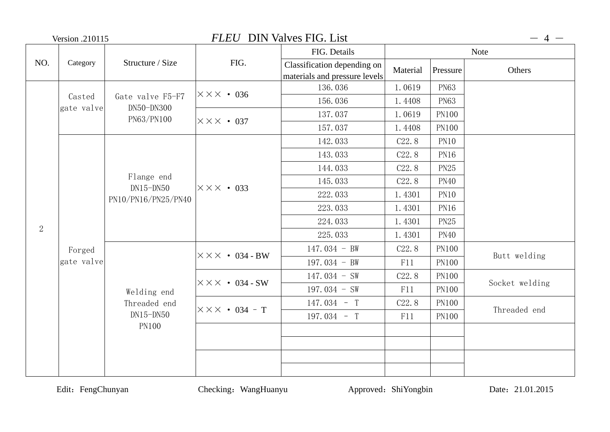|            | <b>Version .210115</b> |                                                  |                                   | <b>FLEU</b> DIN Valves FIG. List                             |                    |              | $-4-$          |
|------------|------------------------|--------------------------------------------------|-----------------------------------|--------------------------------------------------------------|--------------------|--------------|----------------|
|            |                        |                                                  |                                   | FIG. Details                                                 | <b>Note</b>        |              |                |
| NO.        | Category               | Structure / Size                                 | FIG.                              | Classification depending on<br>materials and pressure levels | Material           | Pressure     | Others         |
|            |                        |                                                  | $\times\times\times\bullet$ 036   | 136.036                                                      | 1.0619             | <b>PN63</b>  |                |
|            | Casted<br>gate valve   | Gate valve F5-F7<br>DN50-DN300                   |                                   | 156.036                                                      | 1.4408             | <b>PN63</b>  |                |
|            |                        | PN63/PN100                                       | $X$ $X$ $X$ $\cdot$ 037           | 137.037                                                      | 1.0619             | <b>PN100</b> |                |
|            |                        |                                                  |                                   | 157.037                                                      | 1.4408             | <b>PN100</b> |                |
|            |                        |                                                  |                                   | 142.033                                                      | C <sub>22</sub> .8 | <b>PN10</b>  |                |
|            |                        |                                                  |                                   | 143.033                                                      | C <sub>22</sub> .8 | <b>PN16</b>  |                |
|            |                        | Flange end<br>$DN15-DN50$<br>PN10/PN16/PN25/PN40 |                                   | 144.033                                                      | C22.8              | <b>PN25</b>  |                |
|            |                        |                                                  | $X$ $\times$ $\times$ $\cdot$ 033 | 145.033                                                      | C <sub>22</sub> .8 | <b>PN40</b>  |                |
|            |                        |                                                  |                                   | 222.033                                                      | 1.4301             | <b>PN10</b>  |                |
|            |                        |                                                  |                                   | 223.033                                                      | 1.4301             | <b>PN16</b>  |                |
|            |                        |                                                  |                                   | 224.033                                                      | 1.4301             | <b>PN25</b>  |                |
| $\sqrt{2}$ |                        |                                                  |                                   | 225.033                                                      | 1.4301             | <b>PN40</b>  |                |
|            | Forged                 |                                                  | $\times \times \times$ • 034 - BW | $147.034 - BW$                                               | C <sub>22</sub> .8 | <b>PN100</b> |                |
|            | gate valve             |                                                  |                                   | 197.034 - BW                                                 | F11                | <b>PN100</b> | Butt welding   |
|            |                        |                                                  | $\times\times\times$ • 034 - SW   | $147.034 - SW$                                               | C <sub>22</sub> .8 | <b>PN100</b> |                |
|            |                        | Welding end                                      |                                   | 197.034 - SW                                                 | F11                | <b>PN100</b> | Socket welding |
|            |                        | Threaded end                                     | $\times\times\times$ • 034 - T    | $147.034 - T$                                                | C <sub>22</sub> .8 | <b>PN100</b> | Threaded end   |
|            |                        | $DN15-DN50$                                      |                                   | 197.034 - T                                                  | F11                | <b>PN100</b> |                |
|            |                        | <b>PN100</b>                                     |                                   |                                                              |                    |              |                |
|            |                        |                                                  |                                   |                                                              |                    |              |                |
|            |                        |                                                  |                                   |                                                              |                    |              |                |
|            |                        |                                                  |                                   |                                                              |                    |              |                |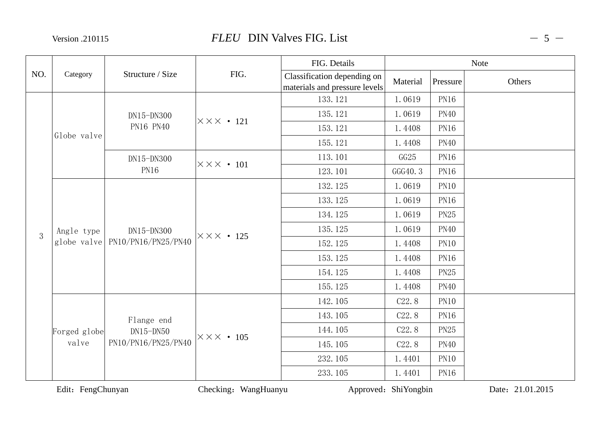Version .210115

|     |                           |                                   |                            | FIG. Details                                                 |                       | <b>Note</b> |        |
|-----|---------------------------|-----------------------------------|----------------------------|--------------------------------------------------------------|-----------------------|-------------|--------|
| NO. | Category                  | Structure / Size                  | FIG.                       | Classification depending on<br>materials and pressure levels | Material              | Pressure    | Others |
|     |                           |                                   |                            | 133.121                                                      | 1.0619                | <b>PN16</b> |        |
|     |                           | DN15-DN300                        | $\times\times\times$ • 121 | 135.121                                                      | 1.0619                | <b>PN40</b> |        |
|     | Globe valve               | PN16 PN40                         |                            | 153.121                                                      | 1.4408                | <b>PN16</b> |        |
|     |                           |                                   |                            | 155.121                                                      | 1.4408                | <b>PN40</b> |        |
|     |                           | DN15-DN300                        | $\times\times\times$ • 101 | 113.101                                                      | GG25                  | <b>PN16</b> |        |
|     |                           | <b>PN16</b>                       |                            | 123.101                                                      | GGG40.3               | <b>PN16</b> |        |
|     |                           |                                   |                            | 132.125                                                      | 1.0619                | <b>PN10</b> |        |
|     | Angle type<br>globe valve |                                   |                            | 133.125                                                      | 1.0619                | <b>PN16</b> |        |
|     |                           |                                   |                            | 134.125                                                      | 1.0619<br><b>PN25</b> |             |        |
| 3   |                           | DN15-DN300<br>PN10/PN16/PN25/PN40 | $\times\times\times$ . 125 | 135.125                                                      | 1.0619                | <b>PN40</b> |        |
|     |                           |                                   |                            | 152.125                                                      | 1.4408                | <b>PN10</b> |        |
|     |                           |                                   |                            | 153.125                                                      | 1.4408                | <b>PN16</b> |        |
|     |                           |                                   |                            | 154.125                                                      | 1.4408                | <b>PN25</b> |        |
|     |                           |                                   |                            | 155.125                                                      | 1.4408                | <b>PN40</b> |        |
|     |                           |                                   |                            | 142.105                                                      | C22.8                 | <b>PN10</b> |        |
|     |                           | Flange end                        |                            | 143.105                                                      | C <sub>22</sub> .8    | <b>PN16</b> |        |
|     | Forged globe              | $DN15-DN50$                       | $\times\times\times$ • 105 | 144.105                                                      | C <sub>22</sub> .8    | <b>PN25</b> |        |
|     | valve                     | PN10/PN16/PN25/PN40               |                            | 145.105<br>C <sub>22</sub> .8<br><b>PN40</b>                 |                       |             |        |
|     |                           |                                   |                            | 232.105                                                      | 1.4401                | <b>PN10</b> |        |
|     |                           |                                   |                            | 233.105                                                      | 1.4401                | <b>PN16</b> |        |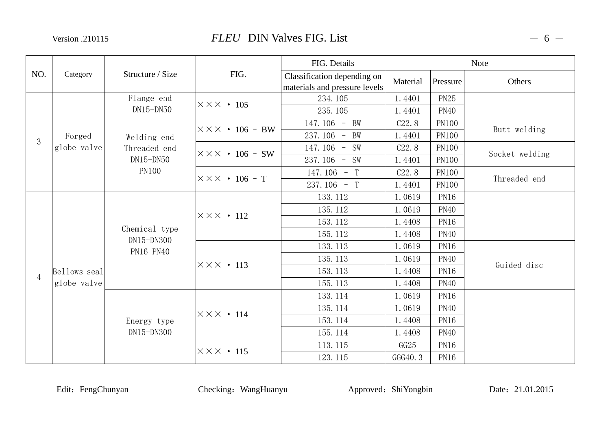Version .210115

## *FLEU* DIN Valves FIG. List

|                |              |                             |                                    | FIG. Details                                                 |                    |              | <b>Note</b>    |
|----------------|--------------|-----------------------------|------------------------------------|--------------------------------------------------------------|--------------------|--------------|----------------|
| NO.            | Category     | Structure / Size            | FIG.                               | Classification depending on<br>materials and pressure levels | Material           | Pressure     | Others         |
|                |              | Flange end                  | $\times\times\times$ • 105         | 234.105                                                      | 1.4401             | <b>PN25</b>  |                |
|                |              | $DN15-DN50$                 |                                    | 235.105                                                      | 1.4401             | <b>PN40</b>  |                |
|                |              |                             | $ \times \times \times$ • 106 - BW | 147.106 - BW                                                 | C22.8              | <b>PN100</b> |                |
| 3              | Forged       | Welding end                 |                                    | 237.106 - BW                                                 | 1.4401             | <b>PN100</b> | Butt welding   |
|                | globe valve  | Threaded end                | $\times\times\times$ • 106 – SW    | 147.106 - SW                                                 | C <sub>22</sub> .8 | <b>PN100</b> |                |
|                |              | $DN15-DN50$                 |                                    | $237.106 - SW$                                               | 1.4401             | <b>PN100</b> | Socket welding |
|                |              | <b>PN100</b>                | $\times\times\times$ • 106 – T     | 147.106 - T                                                  | C22.8              | <b>PN100</b> | Threaded end   |
|                |              |                             |                                    | $237.106 - T$                                                | 1.4401             | <b>PN100</b> |                |
|                |              |                             |                                    | 133.112                                                      | 1.0619             | <b>PN16</b>  |                |
|                |              |                             | $\times\times\times$ • 112         | 135.112                                                      | 1.0619             | <b>PN40</b>  |                |
|                |              |                             |                                    | 153.112                                                      | 1.4408             | <b>PN16</b>  |                |
|                |              | Chemical type<br>DN15-DN300 |                                    | 155.112                                                      | 1.4408             | <b>PN40</b>  |                |
|                |              | PN16 PN40                   |                                    | 133.113                                                      | 1.0619             | <b>PN16</b>  |                |
|                |              |                             | $\times\times\times$ • 113         | 135.113                                                      | 1.0619             | <b>PN40</b>  | Guided disc    |
| $\overline{4}$ | Bellows seal |                             |                                    | 153.113                                                      | 1.4408             | <b>PN16</b>  |                |
|                | globe valve  |                             |                                    | 155.113                                                      | 1.4408             | <b>PN40</b>  |                |
|                |              |                             |                                    | 133.114                                                      | 1.0619             | <b>PN16</b>  |                |
|                |              |                             | $\times\times\times$ • 114         | 135.114                                                      | 1.0619             | <b>PN40</b>  |                |
|                |              | Energy type                 |                                    | 153.114                                                      | 1.4408             | <b>PN16</b>  |                |
|                |              | DN15-DN300                  |                                    | 155.114                                                      | 1.4408             | <b>PN40</b>  |                |
|                |              |                             |                                    | 113.115                                                      | GG25               | <b>PN16</b>  |                |
|                |              |                             | $\times\times\times$ • 115         | 123.115                                                      | GGG40.3            | PN16         |                |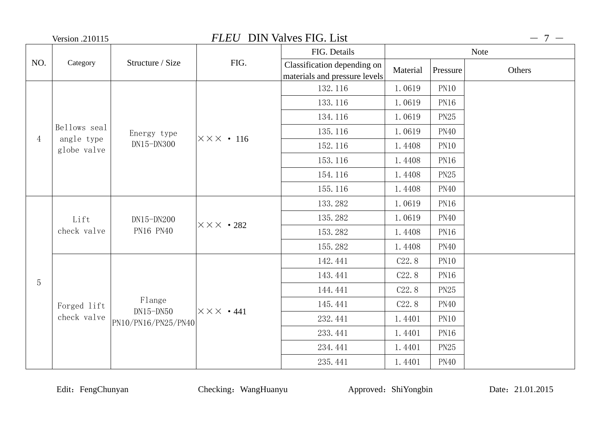|                | <b>FLEU</b> DIN Valves FIG. List<br>Version .210115 |                           |                                 |                                                              |                    |             | $-7-$       |
|----------------|-----------------------------------------------------|---------------------------|---------------------------------|--------------------------------------------------------------|--------------------|-------------|-------------|
|                |                                                     |                           |                                 | FIG. Details                                                 |                    |             | <b>Note</b> |
| NO.            | Category                                            | Structure / Size          | FIG.                            | Classification depending on<br>materials and pressure levels | Material           | Pressure    | Others      |
|                |                                                     |                           |                                 | 132.116                                                      | 1.0619             | PN10        |             |
|                |                                                     |                           |                                 | 133.116                                                      | 1.0619             | <b>PN16</b> |             |
|                |                                                     |                           |                                 | 134.116                                                      | 1.0619             | <b>PN25</b> |             |
|                | Bellows seal                                        | Energy type               | $\times\times\times$ . 116      | 135.116                                                      | 1.0619             | <b>PN40</b> |             |
| $\overline{4}$ | angle type<br>globe valve                           | DN15-DN300                |                                 | 152.116                                                      | 1.4408             | <b>PN10</b> |             |
|                |                                                     |                           |                                 | 153.116                                                      | 1.4408             | <b>PN16</b> |             |
|                |                                                     |                           |                                 | 154.116                                                      | 1.4408             | <b>PN25</b> |             |
|                |                                                     |                           |                                 | 155.116                                                      | 1.4408             | <b>PN40</b> |             |
|                | Lift<br>check valve                                 | $DN15-DN200$<br>PN16 PN40 | $\times\times\times\cdot 282$   | 133.282                                                      | 1.0619             | <b>PN16</b> |             |
|                |                                                     |                           |                                 | 135.282                                                      | 1.0619             | <b>PN40</b> |             |
|                |                                                     |                           |                                 | 153.282                                                      | 1.4408             | <b>PN16</b> |             |
|                |                                                     |                           |                                 | 155.282                                                      | 1.4408             | <b>PN40</b> |             |
|                |                                                     |                           |                                 | 142.441                                                      | C <sub>22</sub> .8 | <b>PN10</b> |             |
| $\overline{5}$ |                                                     |                           |                                 | 143.441                                                      | C <sub>22</sub> .8 | <b>PN16</b> |             |
|                |                                                     |                           |                                 | 144.441                                                      | C <sub>22</sub> .8 | <b>PN25</b> |             |
|                | Forged lift                                         | Flange<br>$DN15-DN50$     | $\times\times\times\bullet$ 441 | 145.441                                                      | C <sub>22</sub> .8 | <b>PN40</b> |             |
|                | check valve                                         | PN10/PN16/PN25/PN40       |                                 | 232.441                                                      | 1.4401             | <b>PN10</b> |             |
|                |                                                     |                           |                                 | 233.441                                                      | 1.4401             | <b>PN16</b> |             |
|                |                                                     |                           |                                 | 234.441                                                      | 1.4401             | <b>PN25</b> |             |
|                |                                                     |                           |                                 | 235.441                                                      | 1.4401             | <b>PN40</b> |             |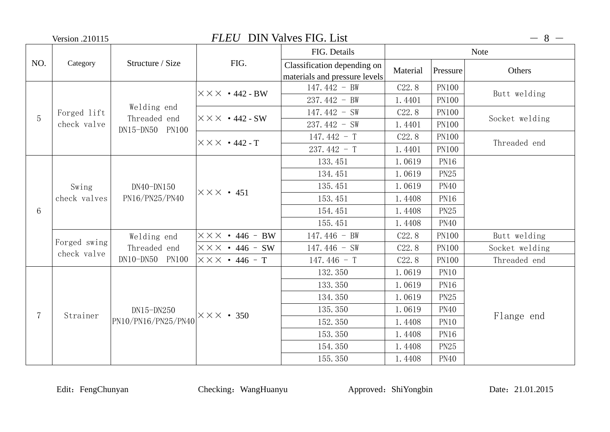|                | Version .210115       |                               |                                    | <b>FLEU</b> DIN Valves FIG. List                             |                    |              | $-8-$          |
|----------------|-----------------------|-------------------------------|------------------------------------|--------------------------------------------------------------|--------------------|--------------|----------------|
|                |                       |                               |                                    | FIG. Details                                                 |                    |              | <b>Note</b>    |
| NO.            | Category              | Structure / Size              | FIG.                               | Classification depending on<br>materials and pressure levels | Material           | Pressure     | Others         |
|                |                       |                               | $\times \times \times$ • 442 - BW  | $147.442 - BW$                                               | C <sub>22</sub> .8 | <b>PN100</b> | Butt welding   |
|                |                       | Welding end                   |                                    | $237.442 - BW$                                               | 1.4401             | <b>PN100</b> |                |
| 5              | Forged lift           | Threaded end                  | $ \times \times \times$ • 442 - SW | $147.442 - SW$                                               | C22.8              | <b>PN100</b> | Socket welding |
|                | check valve           | DN15-DN50 PN100               |                                    | $237.442 - SW$                                               | 1.4401             | <b>PN100</b> |                |
|                |                       |                               | $\times \times \times$ • 442 - T   | 147.442 - T                                                  | C <sub>22</sub> .8 | <b>PN100</b> | Threaded end   |
|                |                       |                               |                                    | $237.442 - T$                                                | 1.4401             | <b>PN100</b> |                |
|                |                       |                               |                                    | 133.451                                                      | 1.0619             | <b>PN16</b>  |                |
|                | Swing<br>check valves | $DN40-N150$<br>PN16/PN25/PN40 | $X \times X$ · 451                 | 134.451                                                      | 1.0619             | <b>PN25</b>  |                |
|                |                       |                               |                                    | 135.451                                                      | 1.0619             | <b>PN40</b>  |                |
|                |                       |                               |                                    | 153.451                                                      | 1.4408             | <b>PN16</b>  |                |
| 6              |                       |                               |                                    | 154.451                                                      | 1.4408             | <b>PN25</b>  |                |
|                |                       |                               |                                    | 155.451                                                      | 1.4408             | <b>PN40</b>  |                |
|                | Forged swing          | Welding end                   | $\times\times\times$ • 446 - BW    | 147.446 - BW                                                 | C22.8              | <b>PN100</b> | Butt welding   |
|                | check valve           | Threaded end                  | $\times\times\times$ • 446 – SW    | $147.446 - SW$                                               | C <sub>22</sub> .8 | <b>PN100</b> | Socket welding |
|                |                       | DN10-DN50 PN100               | $\times\times\times$ • 446 – T     | 147.446 - T                                                  | C22.8              | <b>PN100</b> | Threaded end   |
|                |                       |                               |                                    | 132.350                                                      | 1.0619             | <b>PN10</b>  |                |
|                |                       |                               |                                    | 133.350                                                      | 1.0619             | <b>PN16</b>  |                |
|                |                       |                               |                                    | 134.350                                                      | 1.0619             | <b>PN25</b>  |                |
| $\overline{7}$ | Strainer              | DN15-DN250                    | $\times\times\times\bullet$ 350    | 135.350                                                      | 1.0619             | <b>PN40</b>  |                |
|                |                       | PN10/PN16/PN25/PN40           |                                    | 152.350                                                      | 1.4408             | <b>PN10</b>  | Flange end     |
|                |                       |                               |                                    | 153.350                                                      | 1.4408             | <b>PN16</b>  |                |
|                |                       |                               |                                    | 154.350                                                      | 1.4408             | <b>PN25</b>  |                |
|                |                       |                               |                                    | 155.350                                                      | 1.4408             | <b>PN40</b>  |                |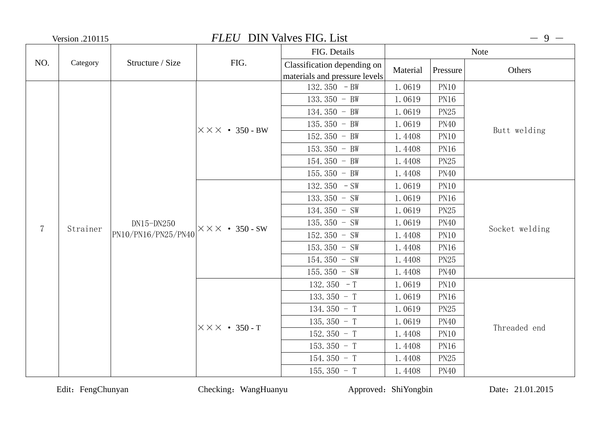| <b>Version .210115</b> |          | <b>FLEU</b> DIN Valves FIG. List    |                                   |                               |             | $-9 -$              |                |
|------------------------|----------|-------------------------------------|-----------------------------------|-------------------------------|-------------|---------------------|----------------|
|                        |          |                                     |                                   | FIG. Details                  |             |                     | Note           |
| NO.                    | Category | Structure / Size                    | FIG.                              | Classification depending on   | Material    | Pressure            | Others         |
|                        |          |                                     |                                   | materials and pressure levels |             |                     |                |
|                        |          |                                     |                                   | 132.350 $-BW$                 | 1.0619      | <b>PN10</b>         |                |
|                        |          |                                     |                                   | 133.350 - BW                  | 1.0619      | <b>PN16</b>         |                |
|                        |          |                                     |                                   | $134.350 - BW$                | 1.0619      | <b>PN25</b>         |                |
|                        |          |                                     | $\times \times \times$ • 350 - BW | 135.350 - BW                  | 1.0619      | <b>PN40</b>         | Butt welding   |
|                        |          |                                     |                                   | 152.350 - BW                  | 1.4408      | <b>PN10</b><br>PN16 |                |
|                        |          |                                     |                                   | $153.350 - BW$                | 1.4408      |                     |                |
|                        |          |                                     |                                   | $154.350 - BW$                | 1.4408      | <b>PN25</b>         |                |
|                        |          |                                     |                                   | $155.350 - BW$                | 1.4408      | <b>PN40</b>         |                |
|                        |          | $DN15-DN250$<br>PN10/PN16/PN25/PN40 |                                   | 132.350 $-SW$                 | 1.0619      | <b>PN10</b>         |                |
|                        |          |                                     |                                   | 133.350 - SW                  | 1.0619      | <b>PN16</b>         |                |
|                        |          |                                     |                                   | $134.350 - SW$<br>1.0619      | <b>PN25</b> |                     |                |
| $\overline{7}$         |          |                                     | $\times \times \times$ • 350 - SW | 135.350 - SW                  | 1.0619      | <b>PN40</b>         | Socket welding |
|                        | Strainer |                                     |                                   | 152.350 - SW                  | 1.4408      | <b>PN10</b>         |                |
|                        |          |                                     |                                   | $153.350 - SW$                | 1.4408      | <b>PN16</b>         |                |
|                        |          |                                     |                                   | $154.350 - SW$                | 1.4408      | PN25                |                |
|                        |          |                                     |                                   | 155.350 - SW                  | 1.4408      | <b>PN40</b>         |                |
|                        |          |                                     |                                   | 132.350 $-$ T                 | 1.0619      | <b>PN10</b>         |                |
|                        |          |                                     |                                   | 133.350 - T                   | 1.0619      | PN16                |                |
|                        |          |                                     |                                   | 134.350 - T                   | 1.0619      | <b>PN25</b>         |                |
|                        |          |                                     |                                   | 135.350 - T                   | 1.0619      | <b>PN40</b>         |                |
|                        |          |                                     | $X$ $X$ $X$ $\cdot$ 350 - T       | 152.350 - T                   | 1.4408      | <b>PN10</b>         | Threaded end   |
|                        |          |                                     |                                   | 153.350 - T                   | 1.4408      | <b>PN16</b>         |                |
|                        |          |                                     |                                   | $154.350 - T$                 | 1.4408      | <b>PN25</b>         |                |
|                        |          |                                     |                                   | 155.350 $-$ T                 | 1.4408      | <b>PN40</b>         |                |

Edit: FengChunyan Checking: WangHuanyu Approved: ShiYongbin Date: 21.01.2015